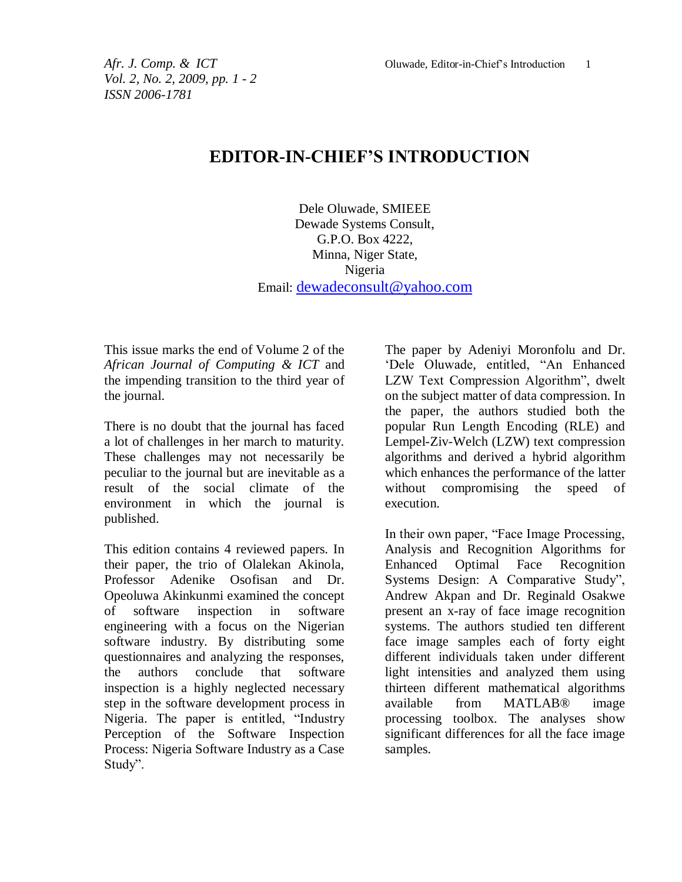## **EDITOR-IN-CHIEF'S INTRODUCTION**

Dele Oluwade, SMIEEE Dewade Systems Consult, G.P.O. Box 4222, Minna, Niger State, Nigeria Email: [dewadeconsult@yahoo.com](mailto:dewadeconsult@yahoo.com)

This issue marks the end of Volume 2 of the *African Journal of Computing & ICT* and the impending transition to the third year of the journal.

There is no doubt that the journal has faced a lot of challenges in her march to maturity. These challenges may not necessarily be peculiar to the journal but are inevitable as a result of the social climate of the environment in which the journal is published.

This edition contains 4 reviewed papers. In their paper, the trio of Olalekan Akinola, Professor Adenike Osofisan and Dr. Opeoluwa Akinkunmi examined the concept of software inspection in software engineering with a focus on the Nigerian software industry. By distributing some questionnaires and analyzing the responses, the authors conclude that software inspection is a highly neglected necessary step in the software development process in Nigeria. The paper is entitled, "Industry Perception of the Software Inspection Process: Nigeria Software Industry as a Case Study".

The paper by Adeniyi Moronfolu and Dr. 'Dele Oluwade, entitled, "An Enhanced LZW Text Compression Algorithm", dwelt on the subject matter of data compression. In the paper, the authors studied both the popular Run Length Encoding (RLE) and Lempel-Ziv-Welch (LZW) text compression algorithms and derived a hybrid algorithm which enhances the performance of the latter without compromising the speed of execution.

In their own paper, "Face Image Processing, Analysis and Recognition Algorithms for Enhanced Optimal Face Systems Design: A Comparative Study", Andrew Akpan and Dr. Reginald Osakwe present an x-ray of face image recognition systems. The authors studied ten different face image samples each of forty eight different individuals taken under different light intensities and analyzed them using thirteen different mathematical algorithms available from MATLAB® image processing toolbox. The analyses show significant differences for all the face image samples.